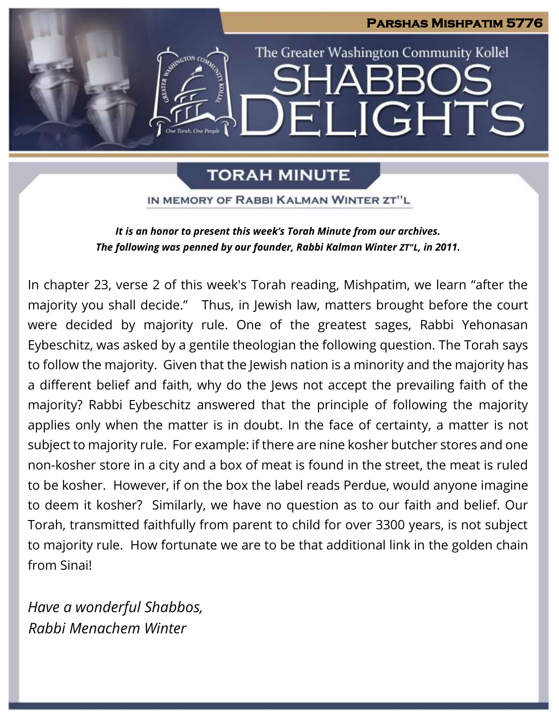

# **TORAH MINUTE**

IN MEMORY OF RABBI KALMAN WINTER ZT"L

*It is an honor to present this week's Torah Minute from our archives. The following was penned by our founder, Rabbi Kalman Winter ZT"L, in 2011.*

In chapter 23, verse 2 of this week's Torah reading, Mishpatim, we learn "after the majority you shall decide." Thus, in Jewish law, matters brought before the court were decided by majority rule. One of the greatest sages, Rabbi Yehonasan Eybeschitz, was asked by a gentile theologian the following question. The Torah says to follow the majority. Given that the Jewish nation is a minority and the majority has a different belief and faith, why do the Jews not accept the prevailing faith of the majority? Rabbi Eybeschitz answered that the principle of following the majority applies only when the matter is in doubt. In the face of certainty, a matter is not subject to majority rule. For example: if there are nine kosher butcher stores and one non-kosher store in a city and a box of meat is found in the street, the meat is ruled to be kosher. However, if on the box the label reads Perdue, would anyone imagine to deem it kosher? Similarly, we have no question as to our faith and belief. Our Torah, transmitted faithfully from parent to child for over 3300 years, is not subject to majority rule. How fortunate we are to be that additional link in the golden chain from Sinai!

*Have a wonderful Shabbos, Rabbi Menachem Winter*